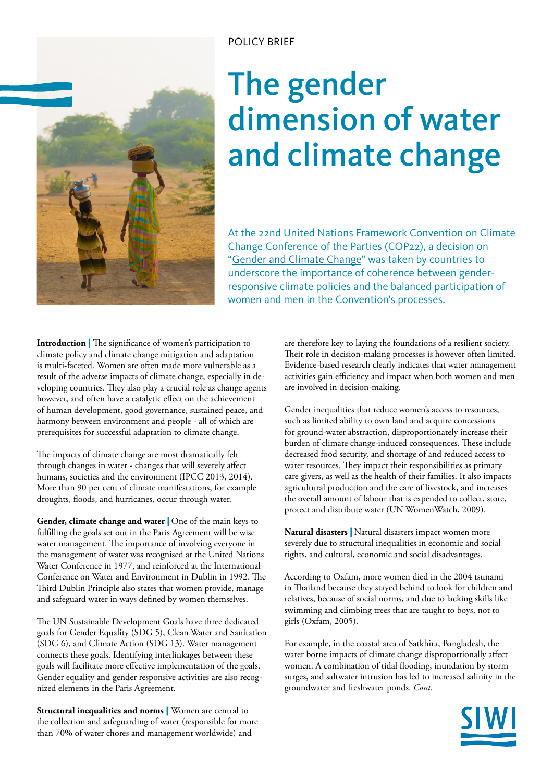## POLICY BRIEF



# The gender dimension of water and climate change

At the 22nd United Nations Framework Convention on Climate Change Conference of the Parties (COP22), a decision on "[Gender and Climate Change](http://unfccc.int/resource/docs/2016/cop22/eng/10a02.pdf)" was taken by countries to underscore the importance of coherence between genderresponsive climate policies and the balanced participation of women and men in the Convention's processes.

**Introduction** The significance of women's participation to climate policy and climate change mitigation and adaptation is multi-faceted. Women are often made more vulnerable as a result of the adverse impacts of climate change, especially in developing countries. They also play a crucial role as change agents however, and often have a catalytic effect on the achievement of human development, good governance, sustained peace, and harmony between environment and people - all of which are prerequisites for successful adaptation to climate change.

The impacts of climate change are most dramatically felt through changes in water - changes that will severely affect humans, societies and the environment (IPCC 2013, 2014). More than 90 per cent of climate manifestations, for example droughts, floods, and hurricanes, occur through water.

**Gender, climate change and water** | One of the main keys to fulfilling the goals set out in the Paris Agreement will be wise water management. The importance of involving everyone in the management of water was recognised at the United Nations Water Conference in 1977, and reinforced at the International Conference on Water and Environment in Dublin in 1992. The Third Dublin Principle also states that women provide, manage and safeguard water in ways defined by women themselves.

The UN Sustainable Development Goals have three dedicated goals for Gender Equality (SDG 5), Clean Water and Sanitation (SDG 6), and Climate Action (SDG 13). Water management connects these goals. Identifying interlinkages between these goals will facilitate more effective implementation of the goals. Gender equality and gender responsive activities are also recognized elements in the Paris Agreement.

**Structural inequalities and norms** | Women are central to the collection and safeguarding of water (responsible for more than 70% of water chores and management worldwide) and

are therefore key to laying the foundations of a resilient society. Their role in decision-making processes is however often limited. Evidence-based research clearly indicates that water management activities gain efficiency and impact when both women and men are involved in decision-making.

Gender inequalities that reduce women's access to resources, such as limited ability to own land and acquire concessions for ground-water abstraction, disproportionately increase their burden of climate change-induced consequences. These include decreased food security, and shortage of and reduced access to water resources. They impact their responsibilities as primary care givers, as well as the health of their families. It also impacts agricultural production and the care of livestock, and increases the overall amount of labour that is expended to collect, store, protect and distribute water (UN WomenWatch, 2009).

**Natural disasters** | Natural disasters impact women more severely due to structural inequalities in economic and social rights, and cultural, economic and social disadvantages.

According to Oxfam, more women died in the 2004 tsunami in Thailand because they stayed behind to look for children and relatives, because of social norms, and due to lacking skills like swimming and climbing trees that are taught to boys, not to girls (Oxfam, 2005).

For example, in the coastal area of Satkhira, Bangladesh, the water borne impacts of climate change disproportionally affect women. A combination of tidal flooding, inundation by storm surges, and saltwater intrusion has led to increased salinity in the groundwater and freshwater ponds. *Cont.*